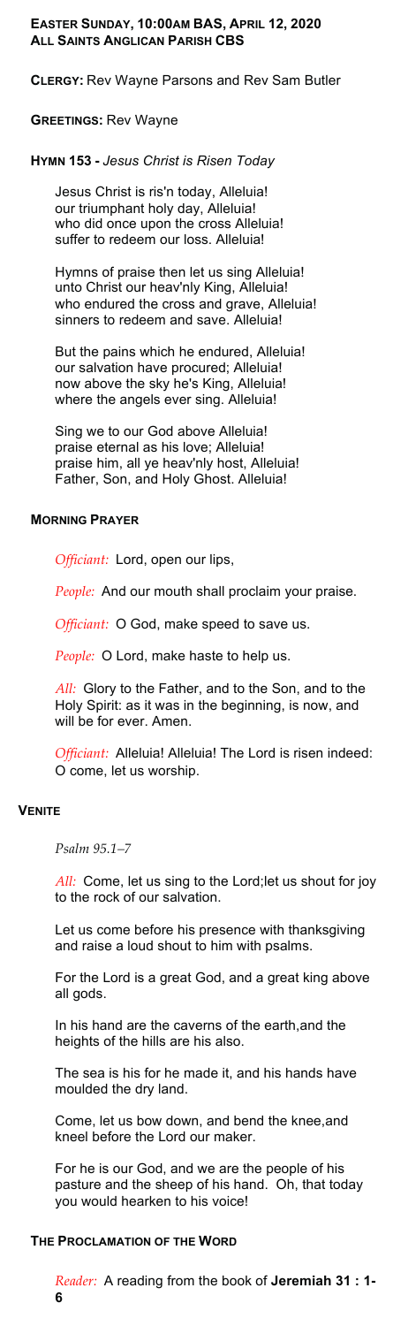# **EASTER SUNDAY, 10:00AM BAS, APRIL 12, 2020 ALL SAINTS ANGLICAN PARISH CBS**

**CLERGY:** Rev Wayne Parsons and Rev Sam Butler

#### **GREETINGS:** Rev Wayne

## **HYMN 153 -** *Jesus Christ is Risen Today*

Jesus Christ is ris'n today, Alleluia! our triumphant holy day, Alleluia! who did once upon the cross Alleluia! suffer to redeem our loss. Alleluia!

Hymns of praise then let us sing Alleluia! unto Christ our heav'nly King, Alleluia! who endured the cross and grave, Alleluia! sinners to redeem and save. Alleluia!

But the pains which he endured, Alleluia! our salvation have procured; Alleluia! now above the sky he's King, Alleluia! where the angels ever sing. Alleluia!

Sing we to our God above Alleluia! praise eternal as his love; Alleluia! praise him, all ye heav'nly host, Alleluia! Father, Son, and Holy Ghost. Alleluia!

### **MORNING PRAYER**

*Officiant:* Lord, open our lips,

*People:* And our mouth shall proclaim your praise.

*Officiant:* O God, make speed to save us.

*People:* O Lord, make haste to help us.

*All:* Glory to the Father, and to the Son, and to the Holy Spirit: as it was in the beginning, is now, and will be for ever. Amen.

*Officiant:* Alleluia! Alleluia! The Lord is risen indeed: O come, let us worship.

# **VENITE**

*Psalm 95.1–7* 

*All:* Come, let us sing to the Lord;let us shout for joy to the rock of our salvation.

Let us come before his presence with thanksgiving and raise a loud shout to him with psalms.

For the Lord is a great God, and a great king above all gods.

In his hand are the caverns of the earth,and the heights of the hills are his also.

The sea is his for he made it, and his hands have moulded the dry land.

Come, let us bow down, and bend the knee,and kneel before the Lord our maker.

For he is our God, and we are the people of his pasture and the sheep of his hand. Oh, that today you would hearken to his voice!

### **THE PROCLAMATION OF THE WORD**

*Reader:* A reading from the book of **Jeremiah 31 : 1- 6**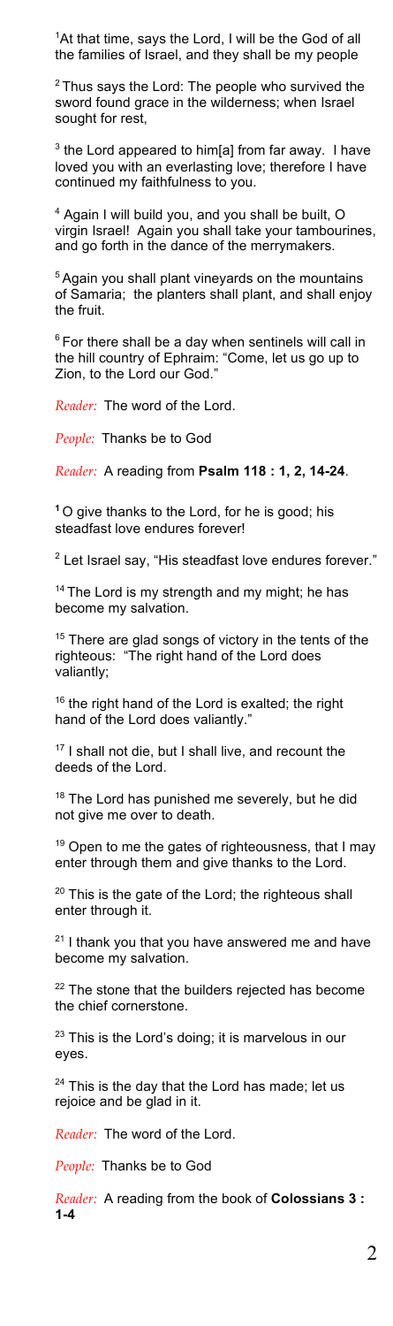<sup>1</sup>At that time, says the Lord, I will be the God of all the families of Israel, and they shall be my people

<sup>2</sup> Thus says the Lord: The people who survived the sword found grace in the wilderness; when Israel sought for rest,

 $3$  the Lord appeared to him[a] from far away. I have loved you with an everlasting love; therefore I have continued my faithfulness to you.

<sup>4</sup> Again I will build you, and you shall be built, O virgin Israel! Again you shall take your tambourines, and go forth in the dance of the merrymakers.

<sup>5</sup> Again you shall plant vineyards on the mountains of Samaria; the planters shall plant, and shall enjoy the fruit.

 $6$  For there shall be a day when sentinels will call in the hill country of Ephraim: "Come, let us go up to Zion, to the Lord our God."

*Reader:* The word of the Lord.

*People:* Thanks be to God

*Reader:* A reading from **Psalm 118 : 1, 2, 14-24**.

**<sup>1</sup>** O give thanks to the Lord, for he is good; his steadfast love endures forever!

 $2$  Let Israel say, "His steadfast love endures forever."

<sup>14</sup> The Lord is my strength and my might; he has become my salvation.

<sup>15</sup> There are glad songs of victory in the tents of the righteous: "The right hand of the Lord does valiantly;

<sup>16</sup> the right hand of the Lord is exalted; the right hand of the Lord does valiantly."

<sup>17</sup> I shall not die, but I shall live, and recount the deeds of the Lord.

<sup>18</sup> The Lord has punished me severely, but he did not give me over to death.

<sup>19</sup> Open to me the gates of righteousness, that I may enter through them and give thanks to the Lord.

 $20$  This is the gate of the Lord; the righteous shall enter through it.

 $21$  I thank you that you have answered me and have become my salvation.

<sup>22</sup> The stone that the builders rejected has become the chief cornerstone.

<sup>23</sup> This is the Lord's doing; it is marvelous in our eyes.

 $24$  This is the day that the Lord has made; let us rejoice and be glad in it.

*Reader:* The word of the Lord.

*People:* Thanks be to God

*Reader:* A reading from the book of **Colossians 3 : 1-4**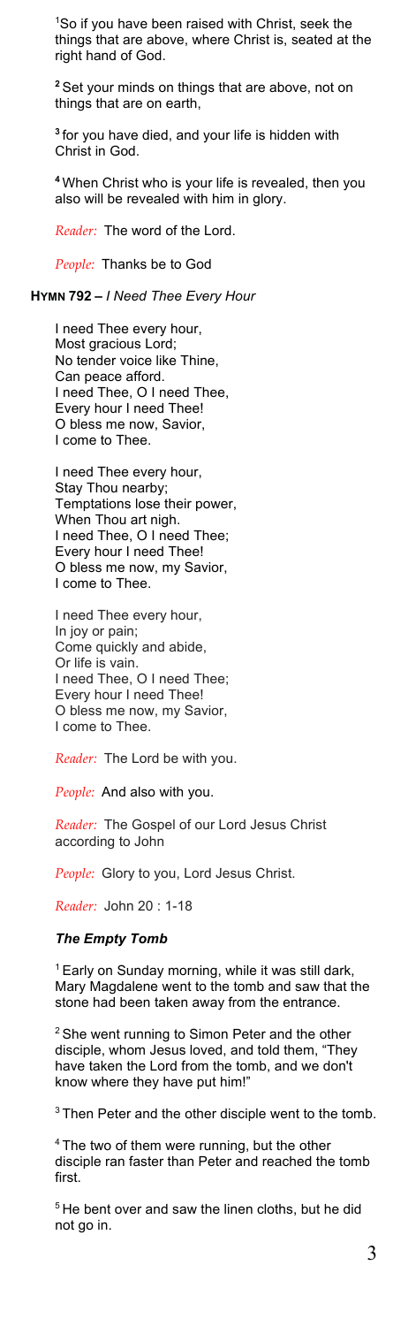1 So if you have been raised with Christ, seek the things that are above, where Christ is, seated at the right hand of God.

**<sup>2</sup>** Set your minds on things that are above, not on things that are on earth,

**<sup>3</sup>** for you have died, and your life is hidden with Christ in God.

**<sup>4</sup>** When Christ who is your life is revealed, then you also will be revealed with him in glory.

*Reader:* The word of the Lord.

*People:* Thanks be to God

**HYMN 792 –** *I Need Thee Every Hour*

I need Thee every hour, Most gracious Lord; No tender voice like Thine, Can peace afford. I need Thee, O I need Thee, Every hour I need Thee! O bless me now, Savior, I come to Thee.

I need Thee every hour, Stay Thou nearby; Temptations lose their power, When Thou art nigh. I need Thee, O I need Thee; Every hour I need Thee! O bless me now, my Savior, I come to Thee.

I need Thee every hour, In joy or pain; Come quickly and abide, Or life is vain. I need Thee, O I need Thee; Every hour I need Thee! O bless me now, my Savior, I come to Thee.

*Reader:* The Lord be with you.

*People:* And also with you.

*Reader:* The Gospel of our Lord Jesus Christ according to John

*People:* Glory to you, Lord Jesus Christ.

*Reader:* John 20 : 1-18

### *The Empty Tomb*

<sup>1</sup> Early on Sunday morning, while it was still dark. Mary Magdalene went to the tomb and saw that the stone had been taken away from the entrance.

<sup>2</sup> She went running to Simon Peter and the other disciple, whom Jesus loved, and told them, "They have taken the Lord from the tomb, and we don't know where they have put him!"

<sup>3</sup> Then Peter and the other disciple went to the tomb.

<sup>4</sup> The two of them were running, but the other disciple ran faster than Peter and reached the tomb first.

<sup>5</sup> He bent over and saw the linen cloths, but he did not go in.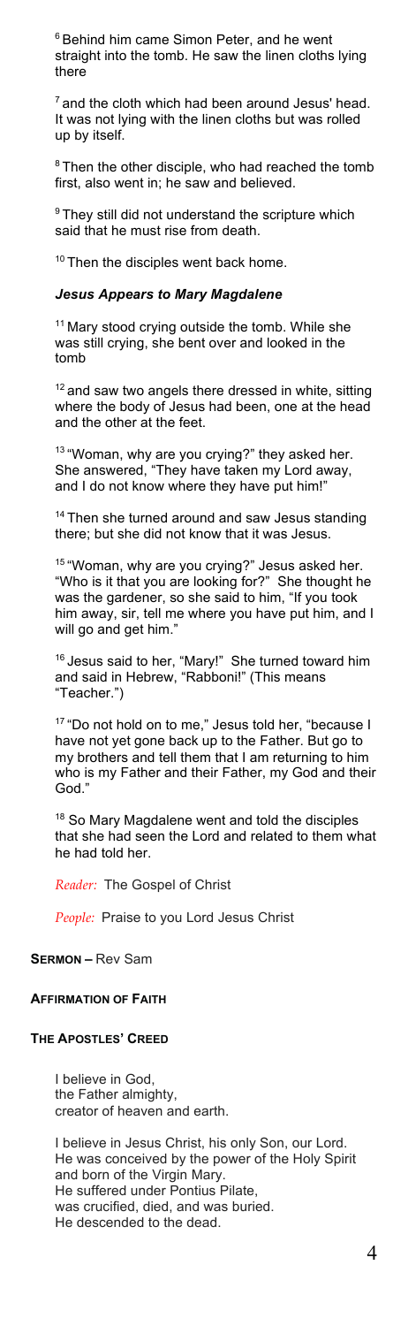<sup>6</sup> Behind him came Simon Peter, and he went straight into the tomb. He saw the linen cloths lying there

 $<sup>7</sup>$  and the cloth which had been around Jesus' head.</sup> It was not lying with the linen cloths but was rolled up by itself.

 $8$  Then the other disciple, who had reached the tomb first, also went in; he saw and believed.

<sup>9</sup> They still did not understand the scripture which said that he must rise from death.

<sup>10</sup> Then the disciples went back home.

#### *Jesus Appears to Mary Magdalene*

<sup>11</sup> Mary stood crying outside the tomb. While she was still crying, she bent over and looked in the tomb

 $12$  and saw two angels there dressed in white, sitting where the body of Jesus had been, one at the head and the other at the feet.

13 "Woman, why are you crying?" they asked her. She answered, "They have taken my Lord away, and I do not know where they have put him!"

<sup>14</sup> Then she turned around and saw Jesus standing there; but she did not know that it was Jesus.

<sup>15</sup> "Woman, why are you crying?" Jesus asked her. "Who is it that you are looking for?" She thought he was the gardener, so she said to him, "If you took him away, sir, tell me where you have put him, and I will go and get him."

<sup>16</sup> Jesus said to her, "Mary!" She turned toward him and said in Hebrew, "Rabboni!" (This means "Teacher.")

<sup>17</sup> "Do not hold on to me," Jesus told her, "because I have not yet gone back up to the Father. But go to my brothers and tell them that I am returning to him who is my Father and their Father, my God and their God."

18 So Mary Magdalene went and told the disciples that she had seen the Lord and related to them what he had told her.

*Reader:* The Gospel of Christ

*People:* Praise to you Lord Jesus Christ

**SERMON –** Rev Sam

### **AFFIRMATION OF FAITH**

# **THE APOSTLES' CREED**

I believe in God, the Father almighty, creator of heaven and earth.

I believe in Jesus Christ, his only Son, our Lord. He was conceived by the power of the Holy Spirit and born of the Virgin Mary. He suffered under Pontius Pilate, was crucified, died, and was buried. He descended to the dead.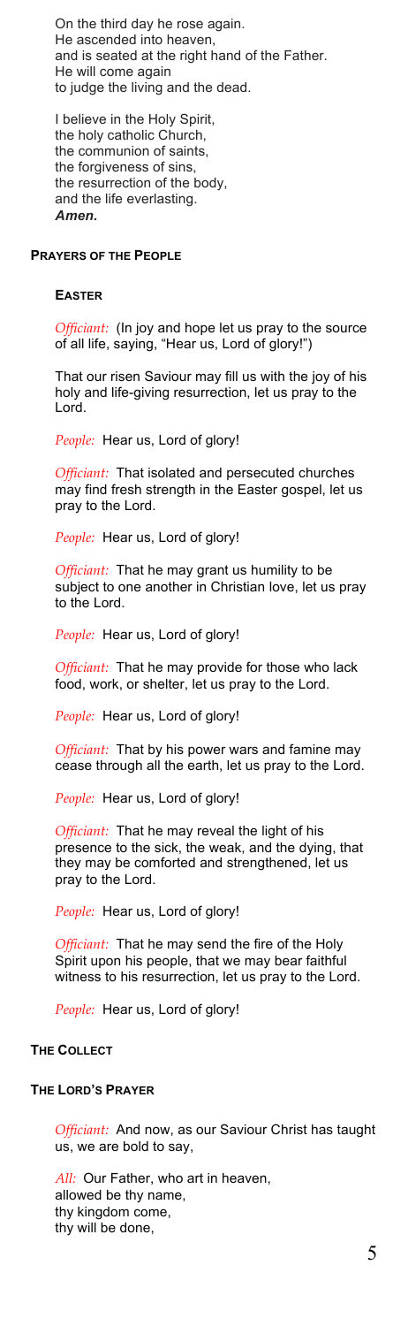On the third day he rose again. He ascended into heaven, and is seated at the right hand of the Father. He will come again to judge the living and the dead.

I believe in the Holy Spirit, the holy catholic Church, the communion of saints, the forgiveness of sins, the resurrection of the body, and the life everlasting. *Amen.*

### **PRAYERS OF THE PEOPLE**

#### **EASTER**

*Officiant:* (In joy and hope let us pray to the source of all life, saying, "Hear us, Lord of glory!")

That our risen Saviour may fill us with the joy of his holy and life-giving resurrection, let us pray to the Lord.

*People:* Hear us, Lord of glory!

*Officiant:* That isolated and persecuted churches may find fresh strength in the Easter gospel, let us pray to the Lord.

*People:* Hear us, Lord of glory!

*Officiant:* That he may grant us humility to be subject to one another in Christian love, let us pray to the Lord.

*People:* Hear us, Lord of glory!

*Officiant:* That he may provide for those who lack food, work, or shelter, let us pray to the Lord.

*People:* Hear us, Lord of glory!

*Officiant:* That by his power wars and famine may cease through all the earth, let us pray to the Lord.

*People:* Hear us, Lord of glory!

*Officiant:* That he may reveal the light of his presence to the sick, the weak, and the dying, that they may be comforted and strengthened, let us pray to the Lord.

*People:* Hear us, Lord of glory!

*Officiant:* That he may send the fire of the Holy Spirit upon his people, that we may bear faithful witness to his resurrection, let us pray to the Lord.

*People:* Hear us, Lord of glory!

# **THE COLLECT**

#### **THE LORD'S PRAYER**

*Officiant:* And now, as our Saviour Christ has taught us, we are bold to say,

*All:* Our Father, who art in heaven, allowed be thy name, thy kingdom come, thy will be done,